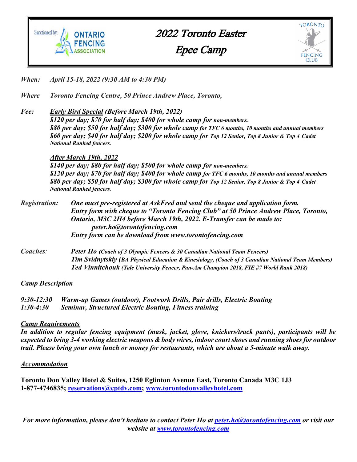

2022 Toronto Easter Epee Camp



- *When: April 15-18, 2022 (9:30 AM to 4:30 PM)*
- *Where Toronto Fencing Centre, 50 Prince Andrew Place, Toronto,*
- *Fee: Early Bird Special (Before March 19th, 2022) \$120 per day; \$70 for half day; \$400 for whole camp for non-members. \$80 per day; \$50 for half day; \$300 for whole camp for TFC 6 months, 10 months and annual members \$60 per day; \$40 for half day; \$200 for whole camp for Top 12 Senior, Top 8 Junior & Top 4 Cadet National Ranked fencers.*

#### *After March 19th, 2022*

*\$140 per day; \$80 for half day; \$500 for whole camp for non-members. \$120 per day; \$70 for half day; \$400 for whole camp for TFC 6 months, 10 months and annual members \$80 per day; \$50 for half day; \$300 for whole camp for Top 12 Senior, Top 8 Junior & Top 4 Cadet National Ranked fencers.*

| <i>Registration:</i> | One must pre-registered at AskFred and send the cheque and application form.<br>Entry form with cheque to "Toronto Fencing Club" at 50 Prince Andrew Place, Toronto,<br>Ontario, M3C 2H4 before March 19th, 2022. E-Transfer can be made to:<br>peter.ho@torontofencing.com |
|----------------------|-----------------------------------------------------------------------------------------------------------------------------------------------------------------------------------------------------------------------------------------------------------------------------|
|                      | Entry form can be download from www.torontofencing.com                                                                                                                                                                                                                      |
| $C$ onchos           | <b>Potor Ho (Coach of 3 Olympic Forgove &amp; 30 Conadian National Town Forgove)</b>                                                                                                                                                                                        |

*Coaches: Peter Ho (Coach of 3 Olympic Fencers & 30 Canadian National Team Fencers) Tim Svidnytskiy (BA Physical Education & Kinesiology, (Coach of 3 Canadian National Team Members) Ted Vinnitchouk (Yale University Fencer, Pan-Am Champion 2018, FIE #7 World Rank 2018)*

#### *Camp Description*

*9:30-12:30 Warm-up Games (outdoor), Footwork Drills, Pair drills, Electric Bouting 1:30-4:30 Seminar, Structured Electric Bouting, Fitness training*

### *Camp Requirements*

*In addition to regular fencing equipment (mask, jacket, glove, knickers/track pants), participants will be expected to bring 3-4 working electric weapons & body wires, indoor court shoes and running shoes for outdoor trail. Please bring your own lunch or money for restaurants, which are about a 5-minute walk away.*

#### *Accommodation*

**Toronto Don Valley Hotel & Suites, 1250 Eglinton Avenue East, Toronto Canada M3C 1J3 1-877-4746835; reservations@cptdv.com; www.torontodonvalleyhotel.com**

*For more information, please don't hesitate to contact Peter Ho at peter.ho@torontofencing.com or visit our website at www.torontofencing.com*